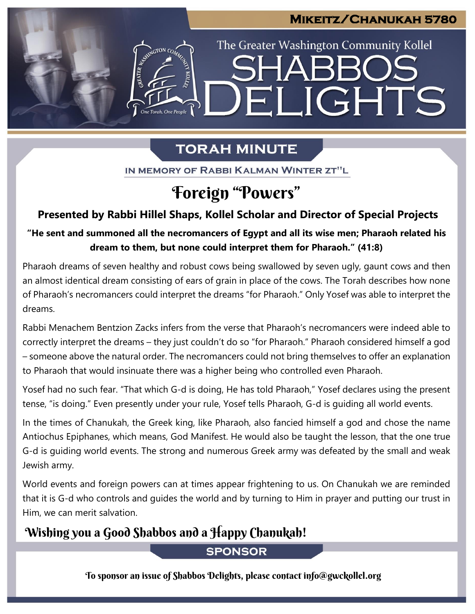#### **Mikeitz/Chanukah 5780**

The Greater Washington Community Kollel

ELIGHTS

# **TORAH MINUTE**

IN MEMORY OF RABBI KALMAN WINTER ZT"L

# Foreign "Powers"

#### **Presented by Rabbi Hillel Shaps, Kollel Scholar and Director of Special Projects**

## "He sent and summoned all the necromancers of Egypt and all its wise men; Pharaoh related his **dream to them, but none could interpret them for Pharaoh." (41:8)**

Pharaoh dreams of seven healthy and robust cows being swallowed by seven ugly, gaunt cows and then an almost identical dream consisting of ears of grain in place of the cows. The Torah describes how none of Pharaoh's necromancers could interpret the dreams "for Pharaoh." Only Yosef was able to interpret the dreams.

Rabbi Menachem Bentzion Zacks infers from the verse that Pharaoh's necromancers were indeed able to correctly interpret the dreams – they just couldn't do so "for Pharaoh." Pharaoh considered himself a god – someone above the natural order. The necromancers could not bring themselves to offer an explanation to Pharaoh that would insinuate there was a higher being who controlled even Pharaoh.

Yosef had no such fear. "That which G-d is doing, He has told Pharaoh," Yosef declares using the present tense, "is doing." Even presently under your rule, Yosef tells Pharaoh, G-d is guiding all world events.

In the times of Chanukah, the Greek king, like Pharaoh, also fancied himself a god and chose the name Antiochus Epiphanes, which means, God Manifest. He would also be taught the lesson, that the one true G-d is guiding world events. The strong and numerous Greek army was defeated by the small and weak Jewish army.

World events and foreign powers can at times appear frightening to us. On Chanukah we are reminded that it is G-d who controls and guides the world and by turning to Him in prayer and putting our trust in Him, we can merit salvation.

# Wishing you a Good Shabbos and a Happy Chanukah!

## **SPONSOR**

To sponsor an issue of Shabbos Delights, please contact info@gwckollel.org